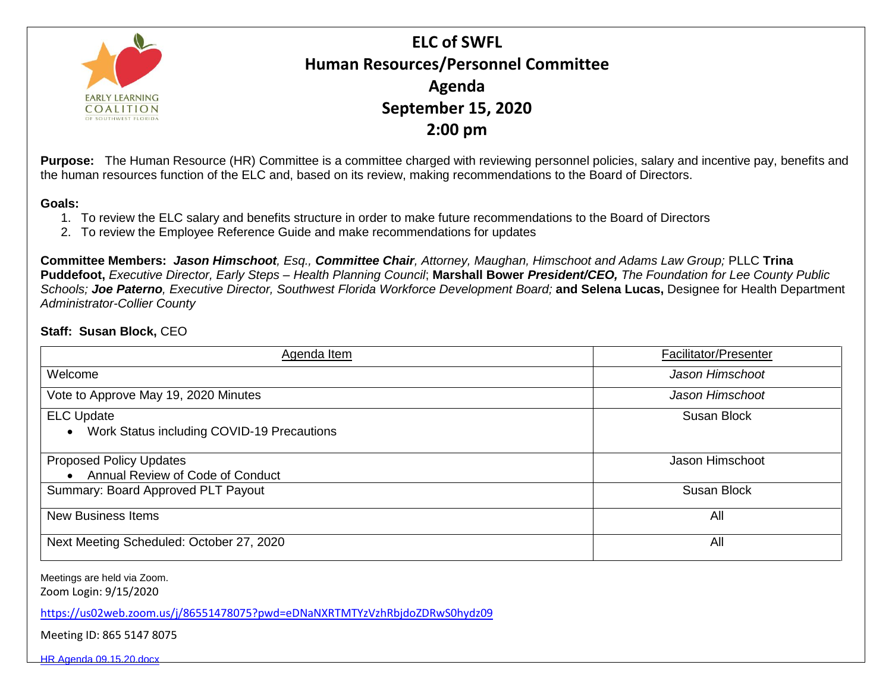

**ELC of SWFL Human Resources/Personnel Committee Agenda September 15, 2020 2:00 pm**

**Purpose:** The Human Resource (HR) Committee is a committee charged with reviewing personnel policies, salary and incentive pay, benefits and the human resources function of the ELC and, based on its review, making recommendations to the Board of Directors.

## **Goals:**

- 1. To review the ELC salary and benefits structure in order to make future recommendations to the Board of Directors
- 2. To review the Employee Reference Guide and make recommendations for updates

**Committee Members:** *Jason Himschoot, Esq., Committee Chair, Attorney, Maughan, Himschoot and Adams Law Group;* PLLC **Trina Puddefoot,** *Executive Director, Early Steps – Health Planning Council*; **Marshall Bower** *President/CEO, The Foundation for Lee County Public Schools; Joe Paterno, Executive Director, Southwest Florida Workforce Development Board;* **and Selena Lucas,** Designee for Health Department *Administrator-Collier County*

## **Staff: Susan Block,** CEO

| Agenda Item                                                        | Facilitator/Presenter |
|--------------------------------------------------------------------|-----------------------|
| Welcome                                                            | Jason Himschoot       |
| Vote to Approve May 19, 2020 Minutes                               | Jason Himschoot       |
| <b>ELC Update</b><br>Work Status including COVID-19 Precautions    | <b>Susan Block</b>    |
| <b>Proposed Policy Updates</b><br>Annual Review of Code of Conduct | Jason Himschoot       |
| Summary: Board Approved PLT Payout                                 | <b>Susan Block</b>    |
| <b>New Business Items</b>                                          | All                   |
| Next Meeting Scheduled: October 27, 2020                           | All                   |

Meetings are held via Zoom.

Zoom Login: 9/15/2020

<https://us02web.zoom.us/j/86551478075?pwd=eDNaNXRTMTYzVzhRbjdoZDRwS0hydz09>

Meeting ID: 865 5147 8075